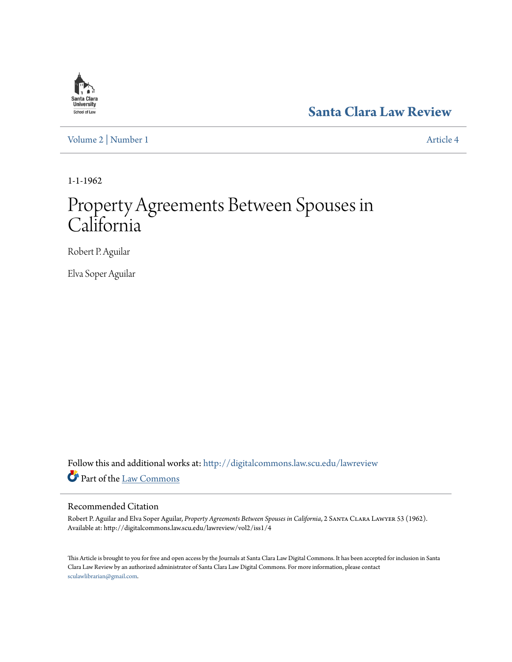

**[Santa Clara Law Review](http://digitalcommons.law.scu.edu/lawreview?utm_source=digitalcommons.law.scu.edu%2Flawreview%2Fvol2%2Fiss1%2F4&utm_medium=PDF&utm_campaign=PDFCoverPages)**

[Volume 2](http://digitalcommons.law.scu.edu/lawreview/vol2?utm_source=digitalcommons.law.scu.edu%2Flawreview%2Fvol2%2Fiss1%2F4&utm_medium=PDF&utm_campaign=PDFCoverPages) | [Number 1](http://digitalcommons.law.scu.edu/lawreview/vol2/iss1?utm_source=digitalcommons.law.scu.edu%2Flawreview%2Fvol2%2Fiss1%2F4&utm_medium=PDF&utm_campaign=PDFCoverPages) [Article 4](http://digitalcommons.law.scu.edu/lawreview/vol2/iss1/4?utm_source=digitalcommons.law.scu.edu%2Flawreview%2Fvol2%2Fiss1%2F4&utm_medium=PDF&utm_campaign=PDFCoverPages)

1-1-1962

# Property Agreements Between Spouses in California

Robert P. Aguilar

Elva Soper Aguilar

Follow this and additional works at: [http://digitalcommons.law.scu.edu/lawreview](http://digitalcommons.law.scu.edu/lawreview?utm_source=digitalcommons.law.scu.edu%2Flawreview%2Fvol2%2Fiss1%2F4&utm_medium=PDF&utm_campaign=PDFCoverPages) Part of the [Law Commons](http://network.bepress.com/hgg/discipline/578?utm_source=digitalcommons.law.scu.edu%2Flawreview%2Fvol2%2Fiss1%2F4&utm_medium=PDF&utm_campaign=PDFCoverPages)

## Recommended Citation

Robert P. Aguilar and Elva Soper Aguilar, *Property Agreements Between Spouses in California*, 2 Santa Clara Lawyer 53 (1962). Available at: http://digitalcommons.law.scu.edu/lawreview/vol2/iss1/4

This Article is brought to you for free and open access by the Journals at Santa Clara Law Digital Commons. It has been accepted for inclusion in Santa Clara Law Review by an authorized administrator of Santa Clara Law Digital Commons. For more information, please contact [sculawlibrarian@gmail.com](mailto:sculawlibrarian@gmail.com).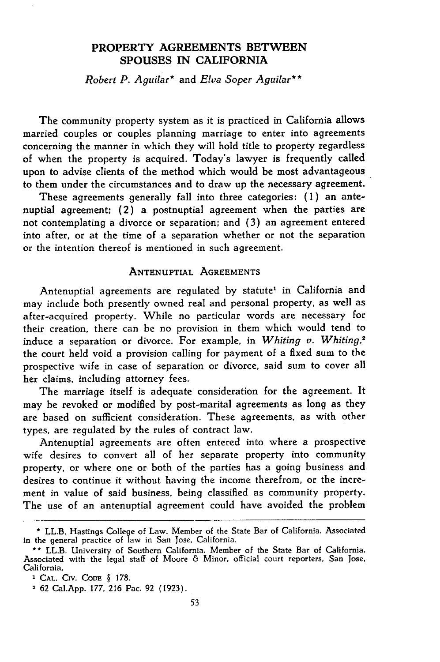### **PROPERTY AGREEMENTS BETWEEN SPOUSES IN CALIFORNIA**

*Robert P. Aguilar\** and *Elva Soper Aguilar\*\**

The community property system as it is practiced in California allows married couples or couples planning marriage to enter into agreements concerning the manner in which they will hold title to property regardless of when the property is acquired. Today's lawyer is frequently called upon to advise clients of the method which would be most advantageous to them under the circumstances and to draw up the necessary agreement.

These agreements generally fall into three categories: (1) an antenuptial agreement; (2) a postnuptial agreement when the parties are not contemplating a divorce or separation; and (3) an agreement entered into after, or at the time of a separation whether or not the separation or the intention thereof is mentioned in such agreement.

#### **ANTENUPTIAL AGREEMENTS**

Antenuptial agreements are regulated by statute' in California and may include both presently owned real and personal property, as well as after-acquired property. While no particular words are necessary for their creation, there can be no provision in them which would tend to induce a separation or divorce. For example, in *Whiting v. Whiting,2* the court held void a provision calling for payment of a fixed sum to the prospective wife in case of separation or divorce, said sum to cover all her claims, including attorney fees.

The marriage itself is adequate consideration for the agreement. It may be revoked or modified by post-marital agreements as long as they are based on sufficient consideration. These agreements, as with other types, are regulated by the rules of contract law.

Antenuptial agreements are often entered into where a prospective wife desires to convert all of her separate property into community property, or where one or both of the parties has a going business and desires to continue it without having the income therefrom, or the increment in value of said business, being classified as community property. The use of an antenuptial agreement could have avoided the problem

**<sup>\*</sup>** LL.B. Hastings College of Law. Member of the State Bar of California. Associated in the general practice of law in San Jose, California.

**<sup>\*\*</sup>** LL.B. University of Southern California. Member of the State Bar of California. Associated with the legal staff of Moore **&** Minor, official court reporters, San Jose, California.

**<sup>1</sup> CAL.** CIv. **CODE §** 178.

<sup>2</sup> 62 Cal.App. 177, 216 Pac. 92 (1923).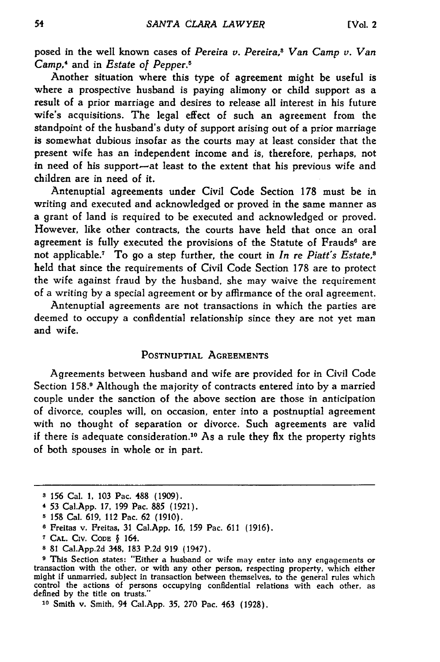posed in the well known cases of *Pereira v. Pereira,s Van Camp v. Van Camp,4* and in *Estate of Pepper5*

Another situation where this type of agreement might be useful is where a prospective husband is paying alimony or child support as a result of a prior marriage and desires to release all interest in his future wife's acquisitions. The legal effect of such an agreement from the standpoint of the husband's duty of support arising out of a prior marriage is somewhat dubious insofar as the courts may at least consider that the present wife has an independent income and is, therefore, perhaps, not in need of his support-at least to the extent that his previous wife and children are in need of it.

Antenuptial agreements under Civil Code Section **178** must be in writing and executed and acknowledged or proved in the same manner as a grant of land is required to be executed and acknowledged or proved. However, like other contracts, the courts have held that once an oral agreement is fully executed the provisions of the Statute of Frauds<sup>6</sup> are not applicable.7 To go a step further, the court in *In* re *Piatt's Estate,8* held that since the requirements of Civil Code Section 178 are to protect the wife against fraud by the husband, she may waive the requirement of a writing by a special agreement or by affirmance of the oral agreement.

Antenuptial agreements are not transactions in which the parties are deemed to occupy a confidential relationship since they are not yet man and wife.

#### **POSTNUPTIAL AGREEMENTS**

Agreements between husband and wife are provided for in Civil Code Section **158. <sup>o</sup>**Although the majority of contracts entered into **by** a married couple under the sanction of the above section are those in anticipation of divorce, couples will, on occasion, enter into a postnuptial agreement with no thought of separation or divorce. Such agreements are valid if there is adequate consideration.'0 As a rule they **flx** the property rights of both spouses in whole or in part.

**<sup>3 156</sup>** Cal. **1, 103** Pac. **488 (1909).**

<sup>4</sup>**53** Cal.App. **17, 199** Pac. **885 (1921).**

**<sup>5</sup> 158** Cal. **619,** 112 Pac. **62 (1910).**

**<sup>6</sup>**Freltas v. Freitas, **31** Cal.App. **16, 159** Pac. **611 (1916).**

**CAL.** CIv. **CODE §** 164.

**<sup>8</sup> 81** Cal.App.2d 348, **183 P.2d 919** (1947).

**<sup>9</sup>**This Section states: "Either a husband or wife may enter into any engagements or transaction with the other, or with any other person, respecting property, which either might if unmarried, subject in transaction between themselves, to the general rules which control the actions **of** persons occupying confidential relations with each other, as defined **by** the title on trusts."

**<sup>10</sup>**Smith v. Smith, 94 Cal.App. **35, 270** Pac. 463 (1928).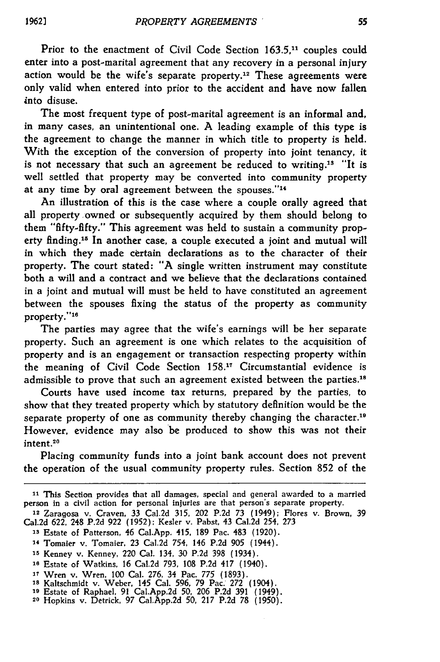55

Prior to the enactment of Civil Code Section 163.5.<sup>11</sup> couples could enter into a post-marital agreement that any recovery in a personal injury action would be the wife's separate property.<sup>12</sup> These agreements were only valid when entered into prior to the accident and have now fallen into disuse.

The most frequent type of post-marital agreement is an informal and, in many cases, an unintentional one. **A** leading example of this type is the agreement to change the manner in which title to property is held. With the exception of the conversion of property into joint tenancy, it is not necessary that such an agreement be reduced to writing.<sup>13</sup> "It is well settled that property may be converted into community property at any time by oral agreement between the spouses."<sup>14</sup>

An illustration of this is the case where a couple orally agreed that all property owned or subsequently acquired by them should belong to them "fifty-fifty." This agreement was held to sustain a community property finding.<sup>15</sup> In another case, a couple executed a joint and mutual will in which they made certain declarations as to the character of their property. The court stated: **"A** single written instrument may constitute both a will and a contract and we believe that the declarations contained in a joint and mutual will must be held to have constituted an agreement between the spouses fixing the status of the property as community property."<sup>16</sup>

The parties may agree that the wife's earnings will be her separate property. Such an agreement is one which relates to the acquisition of property and is an engagement or transaction respecting property within the meaning of Civil Code Section 158.<sup>17</sup> Circumstantial evidence is admissible to prove that such an agreement existed between the parties.'<sup>8</sup>

Courts have used income tax returns, prepared by the parties, to show that they treated property which by statutory definition would be the separate property of one as community thereby changing the character.' However, evidence may also be produced to show this was not their intent.<sup>20</sup>

Placing community funds into a joint bank account does not prevent the operation of the usual community property rules. Section **852** of the

**<sup>&</sup>quot;1** This Section provides that all damages, special and general awarded to a married person in a civil action for personal injuries are that person's separate property. **<sup>12</sup>**Zaragosa v. Craven, **33** Cal.2d **315,** 202 **P.2d 73** (1949); Flores v. Brown, 39

Cal.2d 622, 248 P.2d **922** (1952); Kesler v. Pabst, 43 Cal.2d 254, **273**

**<sup>&#</sup>x27;s** Estate of Patterson, 46 Cal.App. 415, 189 Pac. 483 (1920).

<sup>14</sup> Tomaier v. Tomaier, **23** Cal.2d 754, 146 P.2d **905** (1944).

**<sup>&#</sup>x27;5** Kenney v. Kenney, 220 Cal. 134, **30** P.2d **398** (1934). **is** Estate of Watkins, 16 Cal.2d **793,** 108 P.2d 417 (1940).

**<sup>17</sup>**Wren v. Wren, **100** Cal. **276,** 34 Pac. **775** (1893). **is** Kaltschmidt v. Weber, 145 Cal. **596, 79** Pac. 272 (1904).

**<sup>&#</sup>x27;9** Estate of Raphael, **91** Cal.App.2d **50,** 206 P.2d **391** (1949). **<sup>20</sup>**Hopkins v. Detrick, **97** Cal.App.2d **50,** 217 **P.2d 78** (1950).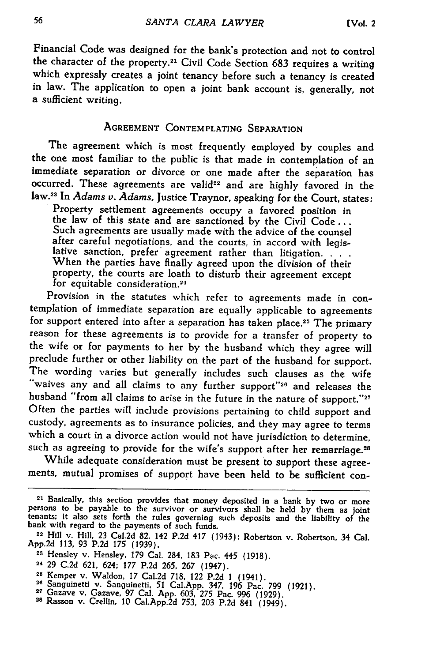Financial Code was designed for the bank's protection and not to control the character of the property.21 Civil Code Section **683** requires a writing which expressly creates a joint tenancy before such a tenancy is created in law. The application to open a joint bank account is, generally, not a sufficient writing.

## **AGREEMENT CONTEMPLATING SEPARATION**

The agreement which is most frequently employed **by** couples and the one most familiar to the public is that made in contemplation of an immediate separation or divorce or one made after the separation has occurred. These agreements are valid<sup>22</sup> and are highly favored in the law.3 In *Adams v. Adams,* Justice Traynor, speaking for the Court, states:

Property settlement agreements occupy a favored position in the law of this state and are sanctioned **by** the Civil **Code...** Such agreements are usually made with the advice of the counsel<br>after careful negotiations, and the courts, in accord with legislative sanction, prefer agreement rather than litigation. . . .<br>When the parties have finally agreed upon the division of their property, the courts are loath to disturb their agreement except for equitable consideration.<sup>24</sup>

Provision in the statutes which refer to agreements made in contemplation of immediate separation are equally applicable to agreements for support entered into after a separation has taken place.<sup>25</sup> The primary reason for these agreements is to provide for a transfer of property to the wife or for payments to her **by** the husband which they agree will preclude further or other liability on the part of the husband for support. The wording varies but generally includes such clauses as the wife "waives any and all claims to any further **support"2"** and releases the husband "from all claims to arise in the future in the nature of support."<sup>2</sup> Often the parties will include provisions pertaining to child support and custody, agreements as to insurance policies, and they may agree to terms which a court in a divorce action would not have jurisdiction to determine, such as agreeing to provide for the wife's support after her remarriage.<sup>28</sup>

While adequate consideration must be present to support these agreements, mutual promises of support have been held to be sufficient con-

<sup>&</sup>lt;sup>21</sup> Basically, this section provides that money deposited in a bank by two or more persons to be payable to the survivor or survivors shall be held by them as joint tenants; it also sets forth the rules governing such de

**App.2d 113, 93 P.2d** *175* **(1939). 23 Hensley** v. Hensley, **179** Cal. 284, **183** Pac. *445* **(1918).**

<sup>24</sup>**29 C.2d 621,** 624; **177 P.2d 265, 267** (1947).

<sup>28</sup> Kemper v. Waldon, 17 Cal.2d 718, 122 P.2d 1 (1941).<br>
<sup>26</sup> Sanguinetti v. Sanguinetti, 51 Cal.App. 347, 196 Pac. 799 (1921).<br>
<sup>26</sup> Sanguinetti v. Sanguinetti, 51 Cal.App. 347, 196 Pac. 799 (1921).<br>
<sup>27</sup> Gazave v. Gazave,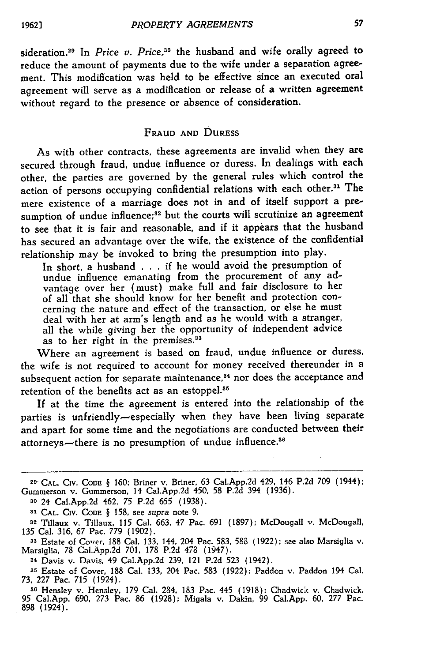sideration.<sup>29</sup> In *Price v. Price*,<sup>30</sup> the husband and wife orally agreed to reduce the amount of payments due to the wife under a separation agreement. This modification was held to be effective since an executed oral agreement will serve as a modification or release of a written agreement without regard to the presence or absence of consideration.

## FRAUD **AND** DURESS

As with other contracts, these agreements are invalid when they are secured through fraud, undue influence or duress. In dealings with each other, the parties are governed by the general rules which control the action of persons occupying confidential relations with each other.3' The mere existence of a marriage does not in and of itself support a presumption of undue influence;<sup>32</sup> but the courts will scrutinize an agreement to see that it is fair and reasonable, and if it appears that the husband has secured an advantage over the wife, the existence of the confidential relationship may be invoked to bring the presumption into play.

In short, a husband . . . if he would avoid the presumption of undue influence emanating from the procurement of any advantage over her (must) make full and fair disclosure to her of all that she should know for her benefit and protection concerning the nature and effect of the transaction, or else he must deal with her at arm's length and as he would with a stranger, all the while giving her the opportunity of independent advice as to her right in the premises.<sup>33</sup>

Where an agreement is based on fraud, undue influence or duress, the wife is not required to account for money received thereunder in a subsequent action for separate maintenance,<sup>34</sup> nor does the acceptance and retention of the benefits act as an estoppel.<sup>35</sup>

If at the time the agreement is entered into the relationship of the parties is unfriendly-especially when they have been living separate and apart for some time and the negotiations are conducted between their attorneys—there is no presumption of undue influence.<sup>36</sup>

**<sup>29-</sup>CAL.** CIV. **CODE** § 160; Briner v. Briner, 63 Cal.App.2d 429, 146 P.2d 709 (1944); Gummerson v. Gummerson, 14 Cal.App.2d 450, 58 P.2d 394 (1936).

**<sup>30</sup>**24 Cal.App.2d 462, 75 P.2d 655 (1938).

**<sup>31</sup> CAL.** CIV. **CODE** § 158, see *supra* note 9.

**<sup>32</sup>**Tillaux v. Tillaux, 115 Cal. 663, 47 Pac. 691 (1897); McDougall v. McDougall, 135 Cal. 316, 67 Pac. 779 (1902).

**<sup>33</sup>**Estate of Covet, 188 Cal. 133, 144, 204 Pac. 583, **583** (1922); see also Marsiglia v. Marsiglia, 78 Cal.App.2d 701, 178 P.2d *478* (1947).

<sup>34</sup> Davis v. Davis, 49 Cal.App.2d 239, 121 P.2d 523 (1942).

**<sup>35</sup>**Estate of Cover, 188 Cal. 133, 204 Pac. 583 (1922); Paddon v. Paddon 194 Cal. 73, 227 Pac. 715 (1924).

**<sup>36</sup>**Hensley v. Hensley, 179 Cal. 284, 183 Pac. 445 (1918); Chadwick v. Chadwick, 95 Cal.App. 690, *273* Pac. 86 (1928); Migala v. Dakin, 99 Cal.App. 60, 277 Pac. **898** (1924).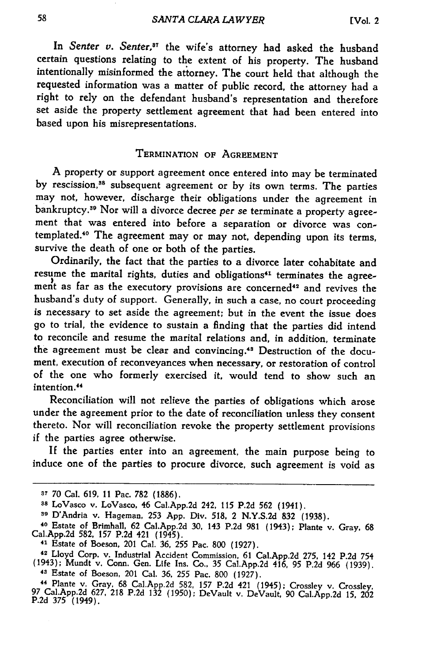In *Senter v. Senter,87* the wife's attorney had asked the husband certain questions relating to the extent of his property. The husband intentionally misinformed the attorney. The court held that although the requested information was a matter of public record, the attorney had a right to rely on the defendant husband's representation and therefore set aside the property settlement agreement that had been entered into based upon his misrepresentations.

#### **TERMINATION OF AGREEMENT**

**A** property or support agreement once entered into may be terminated **by** rescission, 8 subsequent agreement or **by** its own terms. The parties may not, however, discharge their obligations under the agreement in bankruptcy.39 Nor will a divorce decree *per* se terminate a property agreement that was entered into before a separation or divorce was contemplated. 40 The agreement may or may not, depending upon its terms, survive the death of one or both of the parties.

Ordinarily, the fact that the parties to a divorce later cohabitate and resume the marital rights, duties and obligations<sup>41</sup> terminates the agreement as far as the executory provisions are concerned<sup>42</sup> and revives the husband's duty of support. Generally, in such a case, no court proceeding is necessary to set aside the agreement; but in the event the issue does **go** to trial, the evidence to sustain a finding that the parties did intend to reconcile and resume the marital relations and, in addition, terminate the agreement must be clear and convincing." Destruction of the document, execution of reconveyances when necessary, or restoration of control of the one who formerly exercised **it,** would tend to show such an intention.<sup>44</sup>

Reconciliation will not relieve the parties of obligations which arose under the agreement prior to the date of reconciliation unless they consent thereto. Nor will reconciliation revoke the property settlement provisions if the parties agree otherwise.

**If** the parties enter into an agreement, the main purpose being to induce one of the parties to procure divorce, such agreement is void as

**<sup>37</sup>**70 Cal. 619, 11 Pac. **782** (1886).

**<sup>38</sup>**LoVasco v. LoVasco, 46 Cal.App.2d 242, **115** P.2d **562** (1941).

**<sup>89</sup>**D'Andria v. Hageman, **253** App. Div. **518,** 2 N.Y.S.2d **832** (1938).

**<sup>40</sup>**Estate of Brimhall, **62** Cal.App.2d **30,** 143 P.2d 981 (1943); Plante v. Gray, 68 Cal.App.2d **582, 157** P.2d 421 (1945).

<sup>41</sup> Estate of Boeson, 201 Cal. **36, 255** Pac. **800** (1927).

**<sup>42</sup>**Lloyd Corp. v. Industrial Accident Commission, 61 Cal.App.2d **275,** 142 **P.2d** 754 (1943); Mundt v. Conn. Gen. Life Ins. Co., **35** Cal.App.2d 416, **95** P.2d 966 (1939). 43 Estate of Boeson, 201 Cal. **36, 255** Pac. 800 (1927).

<sup>44</sup> Plante v. Gray, 68 Cal.App.2d **582, 157** P.2d 421 (1945); Crossley v. Crossley, **<sup>97</sup>**Cal.App.2d 627, **218 P.2d 132 (1950);** DeVault v. DeVault, 90 Cal.App.2d **15,** <sup>202</sup> **P.2d 375** (1949).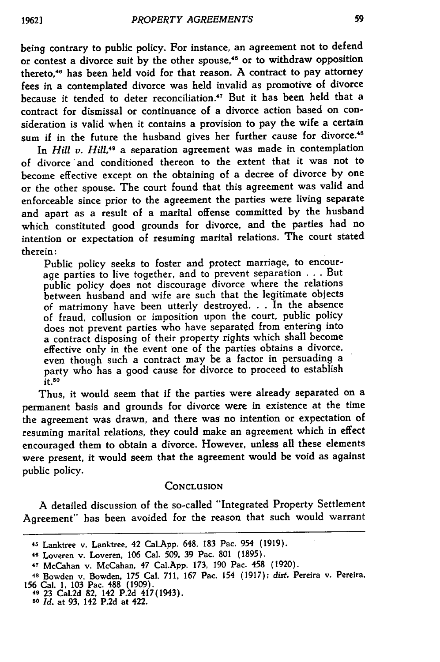being contrary to public policy. For instance, an agreement not to defend or contest a divorce suit **by** the other spouse,45 or to withdraw opposition thereto,46 has been held void for that reason. A contract to pay attorney fees in a contemplated divorce was held invalid as promotive of divorce because it tended to deter reconciliation.<sup>47</sup> But it has been held that a contract for dismissal or continuance of a divorce action based on consideration is valid when it contains a provision to pay the wife a certain sum if in the future the husband gives her further cause for divorce.<sup>48</sup>

In *Hill v. Hill,49* a separation agreement was made in contemplation of divorce'and conditioned thereon to the extent that it was not to become effective except on the obtaining of a decree of divorce **by** one or the other spouse. The court found that this agreement was valid and enforceable since prior to the agreement the parties were living separate and apart as a result of a marital offense committed **by** the husband which constituted good grounds for divorce, and the parties had no intention or expectation of resuming marital relations. The court stated therein:

Public policy seeks to foster and protect marriage, to encourage parties to live together, and to prevent separation . . . But public policy does not discourage divorce where the relations between husband and wife are such that the legitimate objects of matrimony have been utterly destroyed. . **.** In the absence of fraud, collusion or imposition upon the court, public policy does not prevent parties who have separated from entering into a contract disposing of their property rights which shall become effective only in the event one of the parties obtains a divorce, even though such a contract may be a factor in persuading a party who has a good cause for divorce to proceed to establish  $it.50$ 

Thus, it would seem that if the parties were already separated on a permanent basis and grounds for divorce were in existence at the time the agreement was drawn, and there was no intention or expectation of resuming marital relations, they could make an agreement which in effect encouraged them to obtain a divorce. However, unless all these elements were present, it would seem that the agreement would be void as against public policy.

#### **CONCLUSION**

A detailed discussion of the so-called "Integrated Property Settlement Agreement" has been avoided for the reason that such would warrant

<sup>45</sup> Lanktree v. Lanktree, 42 Cal.App. 648, **183** Pac. 954 **(1919).**

<sup>46</sup> Loveren v. Loveren, **106** Cal. **509, 39** Pac. **801 (1895).**

**<sup>47</sup>**McCahan v. McCahan, 47 Cal.App. **173, 190** Pac. 458 **(1920).**

**<sup>48</sup>**Bowden v. Bowden, **175** Cal. 711, **167** Pac. 154 **(1917);** *dist.* Pereira v. Pereira, **156** Cal. **1, 103** Pac. **488 (1909). 49 23** Cal.2d **82,** 142 **P.2d** 417(1943).

*<sup>50</sup> Id.* at 93, 142 P.2d at 422.